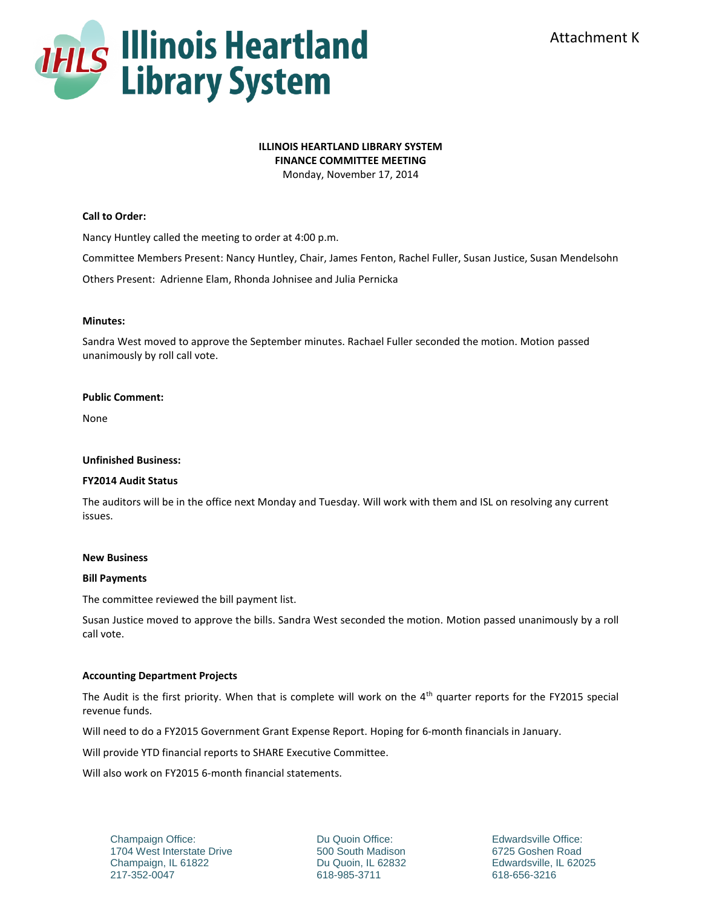

# **ILLINOIS HEARTLAND LIBRARY SYSTEM**

**FINANCE COMMITTEE MEETING**

Monday, November 17, 2014

## **Call to Order:**

Nancy Huntley called the meeting to order at 4:00 p.m.

Committee Members Present: Nancy Huntley, Chair, James Fenton, Rachel Fuller, Susan Justice, Susan Mendelsohn

Others Present: Adrienne Elam, Rhonda Johnisee and Julia Pernicka

### **Minutes:**

Sandra West moved to approve the September minutes. Rachael Fuller seconded the motion. Motion passed unanimously by roll call vote.

#### **Public Comment:**

None

#### **Unfinished Business:**

#### **FY2014 Audit Status**

The auditors will be in the office next Monday and Tuesday. Will work with them and ISL on resolving any current issues.

#### **New Business**

#### **Bill Payments**

The committee reviewed the bill payment list.

Susan Justice moved to approve the bills. Sandra West seconded the motion. Motion passed unanimously by a roll call vote.

#### **Accounting Department Projects**

The Audit is the first priority. When that is complete will work on the  $4<sup>th</sup>$  quarter reports for the FY2015 special revenue funds.

Will need to do a FY2015 Government Grant Expense Report. Hoping for 6-month financials in January.

Will provide YTD financial reports to SHARE Executive Committee.

Will also work on FY2015 6-month financial statements.

Champaign Office: 1704 West Interstate Drive Champaign, IL 61822 217-352-0047

Du Quoin Office: 500 South Madison Du Quoin, IL 62832 618-985-3711

Edwardsville Office: 6725 Goshen Road Edwardsville, IL 62025 618-656-3216